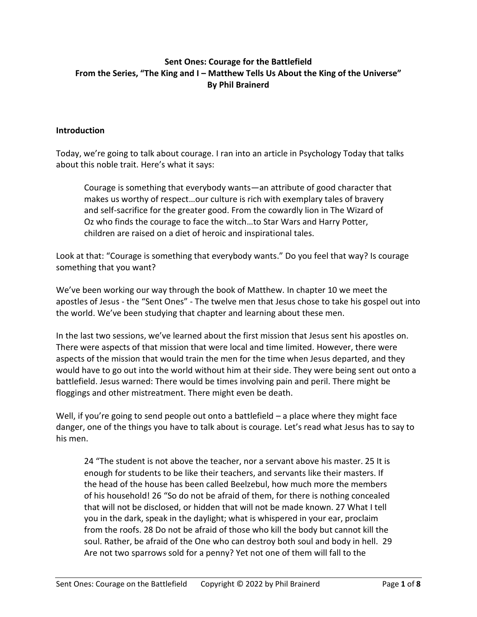# **Sent Ones: Courage for the Battlefield From the Series, "The King and I – Matthew Tells Us About the King of the Universe" By Phil Brainerd**

#### **Introduction**

Today, we're going to talk about courage. I ran into an article in Psychology Today that talks about this noble trait. Here's what it says:

Courage is something that everybody wants—an attribute of good character that makes us worthy of respect…our culture is rich with exemplary tales of bravery and self-sacrifice for the greater good. From the cowardly lion in The Wizard of Oz who finds the courage to face the witch…to Star Wars and Harry Potter, children are raised on a diet of heroic and inspirational tales.

Look at that: "Courage is something that everybody wants." Do you feel that way? Is courage something that you want?

We've been working our way through the book of Matthew. In chapter 10 we meet the apostles of Jesus - the "Sent Ones" - The twelve men that Jesus chose to take his gospel out into the world. We've been studying that chapter and learning about these men.

In the last two sessions, we've learned about the first mission that Jesus sent his apostles on. There were aspects of that mission that were local and time limited. However, there were aspects of the mission that would train the men for the time when Jesus departed, and they would have to go out into the world without him at their side. They were being sent out onto a battlefield. Jesus warned: There would be times involving pain and peril. There might be floggings and other mistreatment. There might even be death.

Well, if you're going to send people out onto a battlefield – a place where they might face danger, one of the things you have to talk about is courage. Let's read what Jesus has to say to his men.

24 "The student is not above the teacher, nor a servant above his master. 25 It is enough for students to be like their teachers, and servants like their masters. If the head of the house has been called Beelzebul, how much more the members of his household! 26 "So do not be afraid of them, for there is nothing concealed that will not be disclosed, or hidden that will not be made known. 27 What I tell you in the dark, speak in the daylight; what is whispered in your ear, proclaim from the roofs. 28 Do not be afraid of those who kill the body but cannot kill the soul. Rather, be afraid of the One who can destroy both soul and body in hell. 29 Are not two sparrows sold for a penny? Yet not one of them will fall to the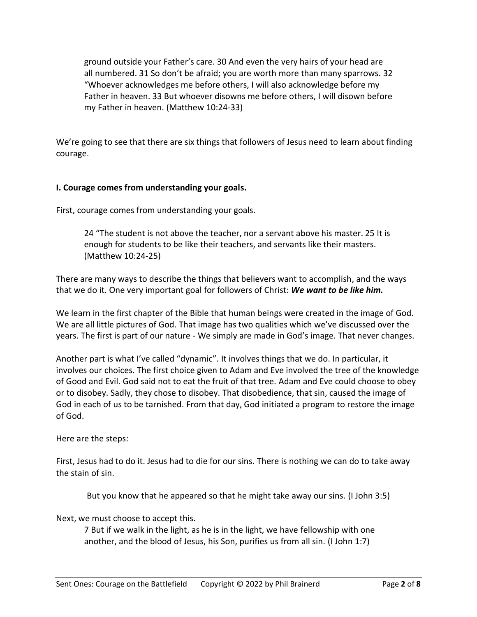ground outside your Father's care. 30 And even the very hairs of your head are all numbered. 31 So don't be afraid; you are worth more than many sparrows. 32 "Whoever acknowledges me before others, I will also acknowledge before my Father in heaven. 33 But whoever disowns me before others, I will disown before my Father in heaven. (Matthew 10:24-33)

We're going to see that there are six things that followers of Jesus need to learn about finding courage.

## **I. Courage comes from understanding your goals.**

First, courage comes from understanding your goals.

24 "The student is not above the teacher, nor a servant above his master. 25 It is enough for students to be like their teachers, and servants like their masters. (Matthew 10:24-25)

There are many ways to describe the things that believers want to accomplish, and the ways that we do it. One very important goal for followers of Christ: *We want to be like him.*

We learn in the first chapter of the Bible that human beings were created in the image of God. We are all little pictures of God. That image has two qualities which we've discussed over the years. The first is part of our nature - We simply are made in God's image. That never changes.

Another part is what I've called "dynamic". It involves things that we do. In particular, it involves our choices. The first choice given to Adam and Eve involved the tree of the knowledge of Good and Evil. God said not to eat the fruit of that tree. Adam and Eve could choose to obey or to disobey. Sadly, they chose to disobey. That disobedience, that sin, caused the image of God in each of us to be tarnished. From that day, God initiated a program to restore the image of God.

Here are the steps:

First, Jesus had to do it. Jesus had to die for our sins. There is nothing we can do to take away the stain of sin.

But you know that he appeared so that he might take away our sins. (I John 3:5)

Next, we must choose to accept this.

7 But if we walk in the light, as he is in the light, we have fellowship with one another, and the blood of Jesus, his Son, purifies us from all sin. (I John 1:7)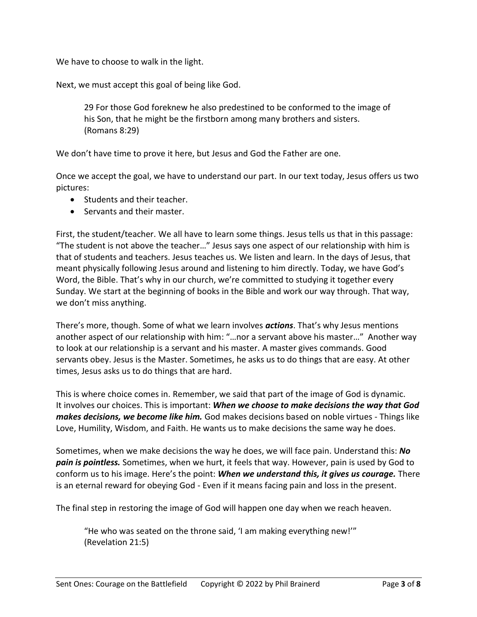We have to choose to walk in the light.

Next, we must accept this goal of being like God.

29 For those God foreknew he also predestined to be conformed to the image of his Son, that he might be the firstborn among many brothers and sisters. (Romans 8:29)

We don't have time to prove it here, but Jesus and God the Father are one.

Once we accept the goal, we have to understand our part. In our text today, Jesus offers us two pictures:

- Students and their teacher.
- Servants and their master.

First, the student/teacher. We all have to learn some things. Jesus tells us that in this passage: "The student is not above the teacher…" Jesus says one aspect of our relationship with him is that of students and teachers. Jesus teaches us. We listen and learn. In the days of Jesus, that meant physically following Jesus around and listening to him directly. Today, we have God's Word, the Bible. That's why in our church, we're committed to studying it together every Sunday. We start at the beginning of books in the Bible and work our way through. That way, we don't miss anything.

There's more, though. Some of what we learn involves *actions*. That's why Jesus mentions another aspect of our relationship with him: "…nor a servant above his master…" Another way to look at our relationship is a servant and his master. A master gives commands. Good servants obey. Jesus is the Master. Sometimes, he asks us to do things that are easy. At other times, Jesus asks us to do things that are hard.

This is where choice comes in. Remember, we said that part of the image of God is dynamic. It involves our choices. This is important: *When we choose to make decisions the way that God makes decisions, we become like him.* God makes decisions based on noble virtues - Things like Love, Humility, Wisdom, and Faith. He wants us to make decisions the same way he does.

Sometimes, when we make decisions the way he does, we will face pain. Understand this: *No pain is pointless.* Sometimes, when we hurt, it feels that way. However, pain is used by God to conform us to his image. Here's the point: *When we understand this, it gives us courage.* There is an eternal reward for obeying God - Even if it means facing pain and loss in the present.

The final step in restoring the image of God will happen one day when we reach heaven.

"He who was seated on the throne said, 'I am making everything new!'" (Revelation 21:5)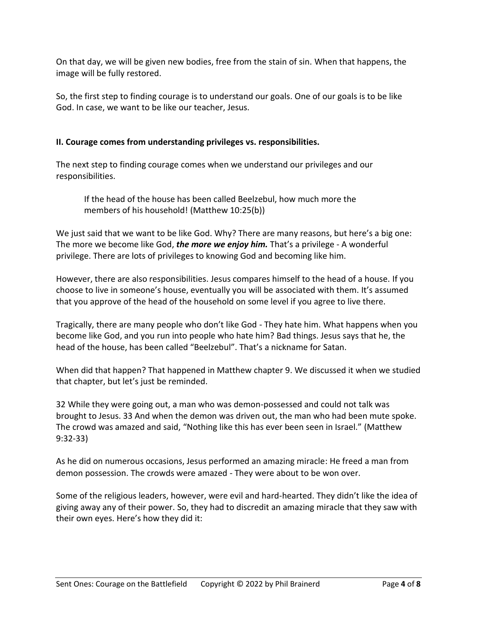On that day, we will be given new bodies, free from the stain of sin. When that happens, the image will be fully restored.

So, the first step to finding courage is to understand our goals. One of our goals is to be like God. In case, we want to be like our teacher, Jesus.

# **II. Courage comes from understanding privileges vs. responsibilities.**

The next step to finding courage comes when we understand our privileges and our responsibilities.

If the head of the house has been called Beelzebul, how much more the members of his household! (Matthew 10:25(b))

We just said that we want to be like God. Why? There are many reasons, but here's a big one: The more we become like God, *the more we enjoy him.* That's a privilege - A wonderful privilege. There are lots of privileges to knowing God and becoming like him.

However, there are also responsibilities. Jesus compares himself to the head of a house. If you choose to live in someone's house, eventually you will be associated with them. It's assumed that you approve of the head of the household on some level if you agree to live there.

Tragically, there are many people who don't like God - They hate him. What happens when you become like God, and you run into people who hate him? Bad things. Jesus says that he, the head of the house, has been called "Beelzebul". That's a nickname for Satan.

When did that happen? That happened in Matthew chapter 9. We discussed it when we studied that chapter, but let's just be reminded.

32 While they were going out, a man who was demon-possessed and could not talk was brought to Jesus. 33 And when the demon was driven out, the man who had been mute spoke. The crowd was amazed and said, "Nothing like this has ever been seen in Israel." (Matthew 9:32-33)

As he did on numerous occasions, Jesus performed an amazing miracle: He freed a man from demon possession. The crowds were amazed - They were about to be won over.

Some of the religious leaders, however, were evil and hard-hearted. They didn't like the idea of giving away any of their power. So, they had to discredit an amazing miracle that they saw with their own eyes. Here's how they did it: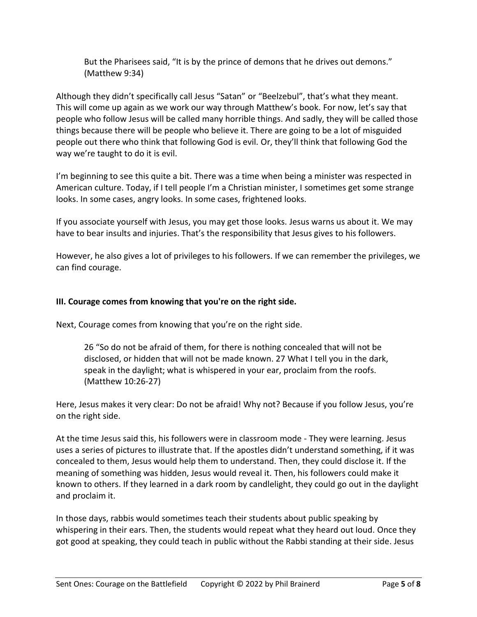But the Pharisees said, "It is by the prince of demons that he drives out demons." (Matthew 9:34)

Although they didn't specifically call Jesus "Satan" or "Beelzebul", that's what they meant. This will come up again as we work our way through Matthew's book. For now, let's say that people who follow Jesus will be called many horrible things. And sadly, they will be called those things because there will be people who believe it. There are going to be a lot of misguided people out there who think that following God is evil. Or, they'll think that following God the way we're taught to do it is evil.

I'm beginning to see this quite a bit. There was a time when being a minister was respected in American culture. Today, if I tell people I'm a Christian minister, I sometimes get some strange looks. In some cases, angry looks. In some cases, frightened looks.

If you associate yourself with Jesus, you may get those looks. Jesus warns us about it. We may have to bear insults and injuries. That's the responsibility that Jesus gives to his followers.

However, he also gives a lot of privileges to his followers. If we can remember the privileges, we can find courage.

## **III. Courage comes from knowing that you're on the right side.**

Next, Courage comes from knowing that you're on the right side.

26 "So do not be afraid of them, for there is nothing concealed that will not be disclosed, or hidden that will not be made known. 27 What I tell you in the dark, speak in the daylight; what is whispered in your ear, proclaim from the roofs. (Matthew 10:26-27)

Here, Jesus makes it very clear: Do not be afraid! Why not? Because if you follow Jesus, you're on the right side.

At the time Jesus said this, his followers were in classroom mode - They were learning. Jesus uses a series of pictures to illustrate that. If the apostles didn't understand something, if it was concealed to them, Jesus would help them to understand. Then, they could disclose it. If the meaning of something was hidden, Jesus would reveal it. Then, his followers could make it known to others. If they learned in a dark room by candlelight, they could go out in the daylight and proclaim it.

In those days, rabbis would sometimes teach their students about public speaking by whispering in their ears. Then, the students would repeat what they heard out loud. Once they got good at speaking, they could teach in public without the Rabbi standing at their side. Jesus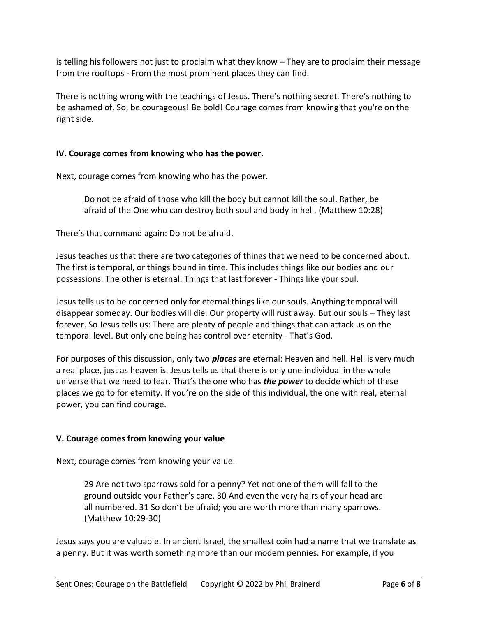is telling his followers not just to proclaim what they know – They are to proclaim their message from the rooftops - From the most prominent places they can find.

There is nothing wrong with the teachings of Jesus. There's nothing secret. There's nothing to be ashamed of. So, be courageous! Be bold! Courage comes from knowing that you're on the right side.

## **IV. Courage comes from knowing who has the power.**

Next, courage comes from knowing who has the power.

Do not be afraid of those who kill the body but cannot kill the soul. Rather, be afraid of the One who can destroy both soul and body in hell. (Matthew 10:28)

There's that command again: Do not be afraid.

Jesus teaches us that there are two categories of things that we need to be concerned about. The first is temporal, or things bound in time. This includes things like our bodies and our possessions. The other is eternal: Things that last forever - Things like your soul.

Jesus tells us to be concerned only for eternal things like our souls. Anything temporal will disappear someday. Our bodies will die. Our property will rust away. But our souls – They last forever. So Jesus tells us: There are plenty of people and things that can attack us on the temporal level. But only one being has control over eternity - That's God.

For purposes of this discussion, only two *places* are eternal: Heaven and hell. Hell is very much a real place, just as heaven is. Jesus tells us that there is only one individual in the whole universe that we need to fear. That's the one who has *the power* to decide which of these places we go to for eternity. If you're on the side of this individual, the one with real, eternal power, you can find courage.

## **V. Courage comes from knowing your value**

Next, courage comes from knowing your value.

29 Are not two sparrows sold for a penny? Yet not one of them will fall to the ground outside your Father's care. 30 And even the very hairs of your head are all numbered. 31 So don't be afraid; you are worth more than many sparrows. (Matthew 10:29-30)

Jesus says you are valuable. In ancient Israel, the smallest coin had a name that we translate as a penny. But it was worth something more than our modern pennies. For example, if you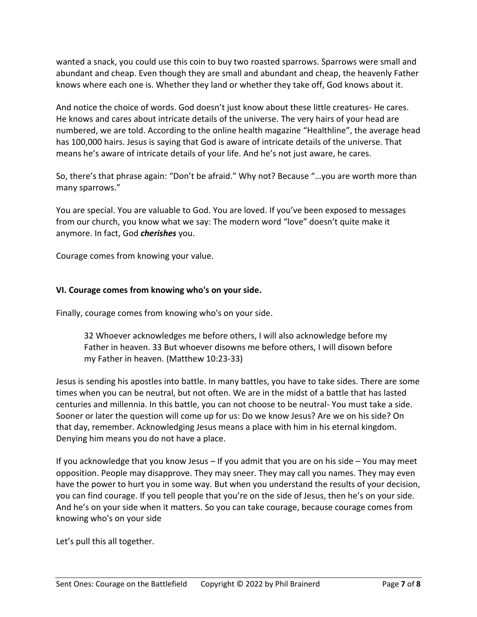wanted a snack, you could use this coin to buy two roasted sparrows. Sparrows were small and abundant and cheap. Even though they are small and abundant and cheap, the heavenly Father knows where each one is. Whether they land or whether they take off, God knows about it.

And notice the choice of words. God doesn't just know about these little creatures- He cares. He knows and cares about intricate details of the universe. The very hairs of your head are numbered, we are told. According to the online health magazine "Healthline", the average head has 100,000 hairs. Jesus is saying that God is aware of intricate details of the universe. That means he's aware of intricate details of your life. And he's not just aware, he cares.

So, there's that phrase again: "Don't be afraid." Why not? Because "…you are worth more than many sparrows."

You are special. You are valuable to God. You are loved. If you've been exposed to messages from our church, you know what we say: The modern word "love" doesn't quite make it anymore. In fact, God *cherishes* you.

Courage comes from knowing your value.

## **VI. Courage comes from knowing who's on your side.**

Finally, courage comes from knowing who's on your side.

32 Whoever acknowledges me before others, I will also acknowledge before my Father in heaven. 33 But whoever disowns me before others, I will disown before my Father in heaven. (Matthew 10:23-33)

Jesus is sending his apostles into battle. In many battles, you have to take sides. There are some times when you can be neutral, but not often. We are in the midst of a battle that has lasted centuries and millennia. In this battle, you can not choose to be neutral- You must take a side. Sooner or later the question will come up for us: Do we know Jesus? Are we on his side? On that day, remember. Acknowledging Jesus means a place with him in his eternal kingdom. Denying him means you do not have a place.

If you acknowledge that you know Jesus – If you admit that you are on his side – You may meet opposition. People may disapprove. They may sneer. They may call you names. They may even have the power to hurt you in some way. But when you understand the results of your decision, you can find courage. If you tell people that you're on the side of Jesus, then he's on your side. And he's on your side when it matters. So you can take courage, because courage comes from knowing who's on your side

Let's pull this all together.